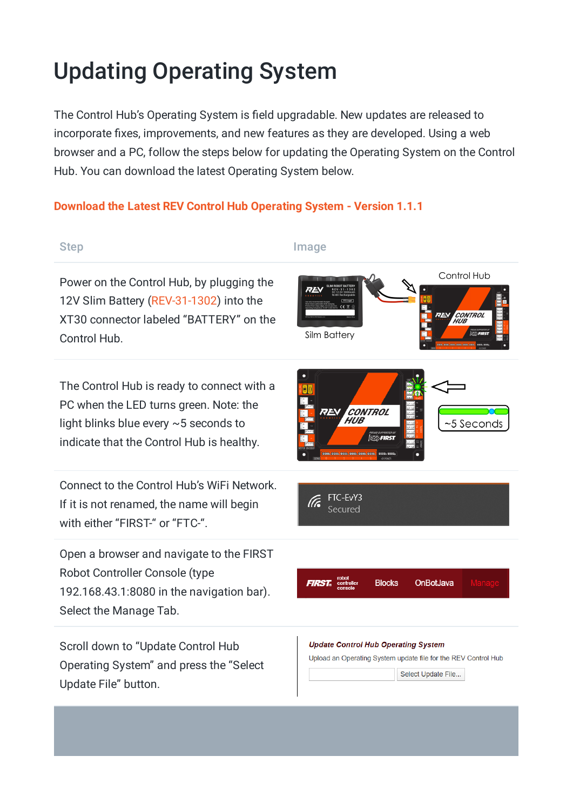## Updating Operating System

The Control Hub's Operating System is field upgradable. New updates are released to incorporate fixes, improvements, and new features as they are developed. Using a web browser and a PC, follow the steps below for updating the Operating System on the Control Hub. You can download the latest Operating System below.

## **Download the Latest REV Control Hub [Operating](https://www.revrobotics.com/content/sw/chv1/ControlHubOS-1.1.1.zip) System - Version 1.1.1**